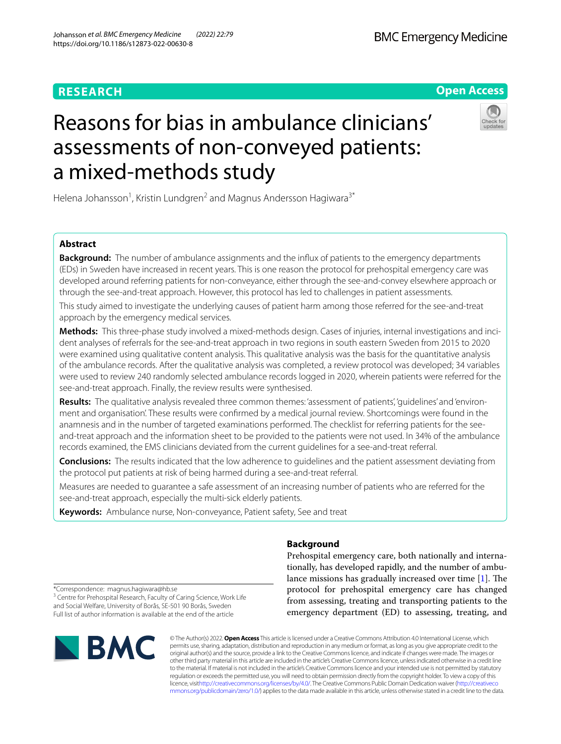## **RESEARCH**

## **BMC Emergency Medicine**

**Open Access**

# Reasons for bias in ambulance clinicians' assessments of non-conveyed patients: a mixed-methods study



Helena Johansson<sup>1</sup>, Kristin Lundgren<sup>2</sup> and Magnus Andersson Hagiwara<sup>3\*</sup>

### **Abstract**

**Background:** The number of ambulance assignments and the infux of patients to the emergency departments (EDs) in Sweden have increased in recent years. This is one reason the protocol for prehospital emergency care was developed around referring patients for non-conveyance, either through the see-and-convey elsewhere approach or through the see-and-treat approach. However, this protocol has led to challenges in patient assessments.

This study aimed to investigate the underlying causes of patient harm among those referred for the see-and-treat approach by the emergency medical services.

**Methods:** This three-phase study involved a mixed-methods design. Cases of injuries, internal investigations and incident analyses of referrals for the see-and-treat approach in two regions in south eastern Sweden from 2015 to 2020 were examined using qualitative content analysis. This qualitative analysis was the basis for the quantitative analysis of the ambulance records. After the qualitative analysis was completed, a review protocol was developed; 34 variables were used to review 240 randomly selected ambulance records logged in 2020, wherein patients were referred for the see-and-treat approach. Finally, the review results were synthesised.

**Results:** The qualitative analysis revealed three common themes: 'assessment of patients', 'guidelines' and 'environment and organisation'. These results were confrmed by a medical journal review. Shortcomings were found in the anamnesis and in the number of targeted examinations performed. The checklist for referring patients for the seeand-treat approach and the information sheet to be provided to the patients were not used. In 34% of the ambulance records examined, the EMS clinicians deviated from the current guidelines for a see-and-treat referral.

**Conclusions:** The results indicated that the low adherence to guidelines and the patient assessment deviating from the protocol put patients at risk of being harmed during a see-and-treat referral.

Measures are needed to guarantee a safe assessment of an increasing number of patients who are referred for the see-and-treat approach, especially the multi-sick elderly patients.

**Keywords:** Ambulance nurse, Non-conveyance, Patient safety, See and treat

## **Background**

Prehospital emergency care, both nationally and internationally, has developed rapidly, and the number of ambulance missions has gradually increased over time  $[1]$  $[1]$ . The protocol for prehospital emergency care has changed from assessing, treating and transporting patients to the emergency department (ED) to assessing, treating, and

\*Correspondence: magnus.hagiwara@hb.se <sup>3</sup> Centre for Prehospital Research, Faculty of Caring Science, Work Life and Social Welfare, University of Borås, SE-501 90 Borås, Sweden Full list of author information is available at the end of the article



© The Author(s) 2022. **Open Access** This article is licensed under a Creative Commons Attribution 4.0 International License, which permits use, sharing, adaptation, distribution and reproduction in any medium or format, as long as you give appropriate credit to the original author(s) and the source, provide a link to the Creative Commons licence, and indicate if changes were made. The images or other third party material in this article are included in the article's Creative Commons licence, unless indicated otherwise in a credit line to the material. If material is not included in the article's Creative Commons licence and your intended use is not permitted by statutory regulation or exceeds the permitted use, you will need to obtain permission directly from the copyright holder. To view a copy of this licence, visi[thttp://creativecommons.org/licenses/by/4.0/](http://creativecommons.org/licenses/by/4.0/). The Creative Commons Public Domain Dedication waiver [\(http://creativeco](http://creativecommons.org/publicdomain/zero/1.0/) [mmons.org/publicdomain/zero/1.0/](http://creativecommons.org/publicdomain/zero/1.0/)) applies to the data made available in this article, unless otherwise stated in a credit line to the data.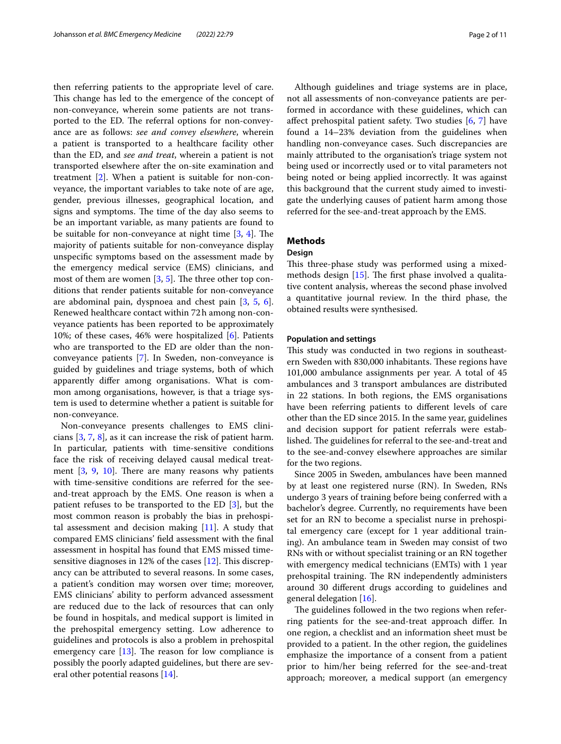then referring patients to the appropriate level of care. This change has led to the emergence of the concept of non-conveyance, wherein some patients are not transported to the ED. The referral options for non-conveyance are as follows: *see and convey elsewhere*, wherein a patient is transported to a healthcare facility other than the ED, and *see and treat*, wherein a patient is not transported elsewhere after the on-site examination and treatment [\[2](#page-10-1)]. When a patient is suitable for non-conveyance, the important variables to take note of are age, gender, previous illnesses, geographical location, and signs and symptoms. The time of the day also seems to be an important variable, as many patients are found to be suitable for non-conveyance at night time  $[3, 4]$  $[3, 4]$  $[3, 4]$  $[3, 4]$ . The majority of patients suitable for non-conveyance display unspecifc symptoms based on the assessment made by the emergency medical service (EMS) clinicians, and most of them are women  $[3, 5]$  $[3, 5]$  $[3, 5]$ . The three other top conditions that render patients suitable for non-conveyance are abdominal pain, dyspnoea and chest pain [[3,](#page-10-2) [5,](#page-10-4) [6](#page-10-5)]. Renewed healthcare contact within 72h among non-conveyance patients has been reported to be approximately 10%; of these cases, 46% were hospitalized [[6\]](#page-10-5). Patients who are transported to the ED are older than the nonconveyance patients [[7\]](#page-10-6). In Sweden, non-conveyance is guided by guidelines and triage systems, both of which apparently difer among organisations. What is common among organisations, however, is that a triage system is used to determine whether a patient is suitable for non-conveyance.

Non-conveyance presents challenges to EMS clinicians [[3](#page-10-2), [7](#page-10-6), [8](#page-10-7)], as it can increase the risk of patient harm. In particular, patients with time-sensitive conditions face the risk of receiving delayed causal medical treatment  $[3, 9, 10]$  $[3, 9, 10]$  $[3, 9, 10]$  $[3, 9, 10]$  $[3, 9, 10]$  $[3, 9, 10]$ . There are many reasons why patients with time-sensitive conditions are referred for the seeand-treat approach by the EMS. One reason is when a patient refuses to be transported to the ED [\[3](#page-10-2)], but the most common reason is probably the bias in prehospital assessment and decision making  $[11]$ . A study that compared EMS clinicians' feld assessment with the fnal assessment in hospital has found that EMS missed timesensitive diagnoses in  $12\%$  $12\%$  of the cases  $[12]$ . This discrepancy can be attributed to several reasons. In some cases, a patient's condition may worsen over time; moreover, EMS clinicians' ability to perform advanced assessment are reduced due to the lack of resources that can only be found in hospitals, and medical support is limited in the prehospital emergency setting. Low adherence to guidelines and protocols is also a problem in prehospital emergency care  $[13]$  $[13]$ . The reason for low compliance is possibly the poorly adapted guidelines, but there are several other potential reasons [[14\]](#page-10-13).

Although guidelines and triage systems are in place, not all assessments of non-conveyance patients are performed in accordance with these guidelines, which can afect prehospital patient safety. Two studies [[6](#page-10-5), [7](#page-10-6)] have found a 14–23% deviation from the guidelines when handling non-conveyance cases. Such discrepancies are mainly attributed to the organisation's triage system not being used or incorrectly used or to vital parameters not being noted or being applied incorrectly. It was against this background that the current study aimed to investigate the underlying causes of patient harm among those referred for the see-and-treat approach by the EMS.

## **Methods**

#### **Design**

This three-phase study was performed using a mixedmethods design  $[15]$  $[15]$ . The first phase involved a qualitative content analysis, whereas the second phase involved a quantitative journal review. In the third phase, the obtained results were synthesised.

#### **Population and settings**

This study was conducted in two regions in southeastern Sweden with 830,000 inhabitants. These regions have 101,000 ambulance assignments per year. A total of 45 ambulances and 3 transport ambulances are distributed in 22 stations. In both regions, the EMS organisations have been referring patients to diferent levels of care other than the ED since 2015. In the same year, guidelines and decision support for patient referrals were established. The guidelines for referral to the see-and-treat and to the see-and-convey elsewhere approaches are similar for the two regions.

Since 2005 in Sweden, ambulances have been manned by at least one registered nurse (RN). In Sweden, RNs undergo 3 years of training before being conferred with a bachelor's degree. Currently, no requirements have been set for an RN to become a specialist nurse in prehospital emergency care (except for 1 year additional training). An ambulance team in Sweden may consist of two RNs with or without specialist training or an RN together with emergency medical technicians (EMTs) with 1 year prehospital training. The RN independently administers around 30 diferent drugs according to guidelines and general delegation [[16\]](#page-10-15).

The guidelines followed in the two regions when referring patients for the see-and-treat approach difer. In one region, a checklist and an information sheet must be provided to a patient. In the other region, the guidelines emphasize the importance of a consent from a patient prior to him/her being referred for the see-and-treat approach; moreover, a medical support (an emergency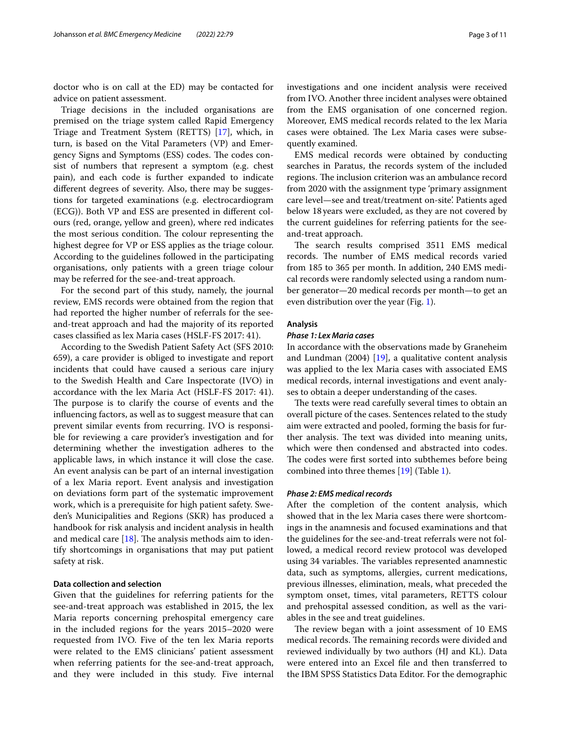doctor who is on call at the ED) may be contacted for advice on patient assessment.

Triage decisions in the included organisations are premised on the triage system called Rapid Emergency Triage and Treatment System (RETTS) [\[17](#page-10-16)], which, in turn, is based on the Vital Parameters (VP) and Emergency Signs and Symptoms (ESS) codes. The codes consist of numbers that represent a symptom (e.g. chest pain), and each code is further expanded to indicate diferent degrees of severity. Also, there may be suggestions for targeted examinations (e.g. electrocardiogram (ECG)). Both VP and ESS are presented in diferent colours (red, orange, yellow and green), where red indicates the most serious condition. The colour representing the highest degree for VP or ESS applies as the triage colour. According to the guidelines followed in the participating organisations, only patients with a green triage colour may be referred for the see-and-treat approach.

For the second part of this study, namely, the journal review, EMS records were obtained from the region that had reported the higher number of referrals for the seeand-treat approach and had the majority of its reported cases classifed as lex Maria cases (HSLF-FS 2017: 41).

According to the Swedish Patient Safety Act (SFS 2010: 659), a care provider is obliged to investigate and report incidents that could have caused a serious care injury to the Swedish Health and Care Inspectorate (IVO) in accordance with the lex Maria Act (HSLF-FS 2017: 41). The purpose is to clarify the course of events and the infuencing factors, as well as to suggest measure that can prevent similar events from recurring. IVO is responsible for reviewing a care provider's investigation and for determining whether the investigation adheres to the applicable laws, in which instance it will close the case. An event analysis can be part of an internal investigation of a lex Maria report. Event analysis and investigation on deviations form part of the systematic improvement work, which is a prerequisite for high patient safety. Sweden's Municipalities and Regions (SKR) has produced a handbook for risk analysis and incident analysis in health and medical care  $[18]$ . The analysis methods aim to identify shortcomings in organisations that may put patient safety at risk.

#### **Data collection and selection**

Given that the guidelines for referring patients for the see-and-treat approach was established in 2015, the lex Maria reports concerning prehospital emergency care in the included regions for the years 2015–2020 were requested from IVO. Five of the ten lex Maria reports were related to the EMS clinicians' patient assessment when referring patients for the see-and-treat approach, and they were included in this study. Five internal investigations and one incident analysis were received from IVO. Another three incident analyses were obtained from the EMS organisation of one concerned region. Moreover, EMS medical records related to the lex Maria cases were obtained. The Lex Maria cases were subsequently examined.

EMS medical records were obtained by conducting searches in Paratus, the records system of the included regions. The inclusion criterion was an ambulance record from 2020 with the assignment type 'primary assignment care level—see and treat/treatment on-site'. Patients aged below 18years were excluded, as they are not covered by the current guidelines for referring patients for the seeand-treat approach.

The search results comprised 3511 EMS medical records. The number of EMS medical records varied from 185 to 365 per month. In addition, 240 EMS medical records were randomly selected using a random number generator—20 medical records per month—to get an even distribution over the year (Fig. [1](#page-3-0)).

#### **Analysis**

#### *Phase 1: Lex Maria cases*

In accordance with the observations made by Graneheim and Lundman (2004) [\[19](#page-10-18)], a qualitative content analysis was applied to the lex Maria cases with associated EMS medical records, internal investigations and event analyses to obtain a deeper understanding of the cases.

The texts were read carefully several times to obtain an overall picture of the cases. Sentences related to the study aim were extracted and pooled, forming the basis for further analysis. The text was divided into meaning units, which were then condensed and abstracted into codes. The codes were first sorted into subthemes before being combined into three themes [\[19](#page-10-18)] (Table [1](#page-3-1)).

#### *Phase 2: EMS medical records*

After the completion of the content analysis, which showed that in the lex Maria cases there were shortcomings in the anamnesis and focused examinations and that the guidelines for the see-and-treat referrals were not followed, a medical record review protocol was developed using 34 variables. The variables represented anamnestic data, such as symptoms, allergies, current medications, previous illnesses, elimination, meals, what preceded the symptom onset, times, vital parameters, RETTS colour and prehospital assessed condition, as well as the variables in the see and treat guidelines.

The review began with a joint assessment of 10 EMS medical records. The remaining records were divided and reviewed individually by two authors (HJ and KL). Data were entered into an Excel fle and then transferred to the IBM SPSS Statistics Data Editor. For the demographic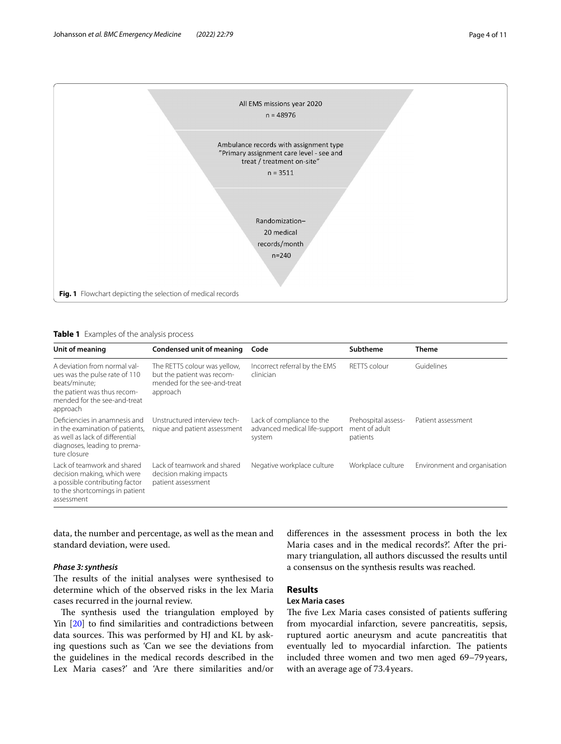

<span id="page-3-1"></span><span id="page-3-0"></span>**Table 1** Examples of the analysis process

| Unit of meaning                                                                                                                                           | Condensed unit of meaning                                                                              | Code                                                                 | <b>Subtheme</b>                                  | <b>Theme</b>                 |
|-----------------------------------------------------------------------------------------------------------------------------------------------------------|--------------------------------------------------------------------------------------------------------|----------------------------------------------------------------------|--------------------------------------------------|------------------------------|
| A deviation from normal val-<br>ues was the pulse rate of 110<br>beats/minute:<br>the patient was thus recom-<br>mended for the see-and-treat<br>approach | The RETTS colour was yellow,<br>but the patient was recom-<br>mended for the see-and-treat<br>approach | Incorrect referral by the EMS<br>clinician                           | <b>RETTS</b> colour                              | Guidelines                   |
| Deficiencies in anamnesis and<br>in the examination of patients,<br>as well as lack of differential<br>diagnoses, leading to prema-<br>ture closure       | Unstructured interview tech-<br>nique and patient assessment                                           | Lack of compliance to the<br>advanced medical life-support<br>system | Prehospital assess-<br>ment of adult<br>patients | Patient assessment           |
| Lack of teamwork and shared<br>decision making, which were<br>a possible contributing factor<br>to the shortcomings in patient<br>assessment              | Lack of teamwork and shared<br>decision making impacts<br>patient assessment                           | Negative workplace culture                                           | Workplace culture                                | Environment and organisation |

data, the number and percentage, as well as the mean and standard deviation, were used.

#### *Phase 3: synthesis*

The results of the initial analyses were synthesised to determine which of the observed risks in the lex Maria cases recurred in the journal review.

The synthesis used the triangulation employed by Yin [\[20\]](#page-10-19) to fnd similarities and contradictions between data sources. This was performed by HJ and KL by asking questions such as 'Can we see the deviations from the guidelines in the medical records described in the Lex Maria cases?' and 'Are there similarities and/or

diferences in the assessment process in both the lex Maria cases and in the medical records?'. After the primary triangulation, all authors discussed the results until a consensus on the synthesis results was reached.

## **Results**

#### **Lex Maria cases**

The five Lex Maria cases consisted of patients suffering from myocardial infarction, severe pancreatitis, sepsis, ruptured aortic aneurysm and acute pancreatitis that eventually led to myocardial infarction. The patients included three women and two men aged 69–79 years, with an average age of 73.4years.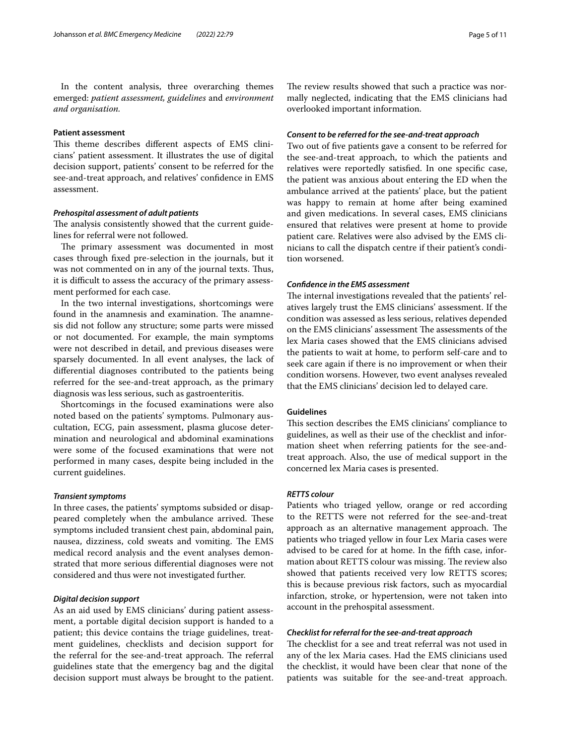In the content analysis, three overarching themes emerged: *patient assessment, guidelines* and *environment and organisation.*

#### **Patient assessment**

This theme describes different aspects of EMS clinicians' patient assessment. It illustrates the use of digital decision support, patients' consent to be referred for the see-and-treat approach, and relatives' confdence in EMS assessment.

#### *Prehospital assessment of adult patients*

The analysis consistently showed that the current guidelines for referral were not followed.

The primary assessment was documented in most cases through fxed pre-selection in the journals, but it was not commented on in any of the journal texts. Thus, it is difficult to assess the accuracy of the primary assessment performed for each case.

In the two internal investigations, shortcomings were found in the anamnesis and examination. The anamnesis did not follow any structure; some parts were missed or not documented. For example, the main symptoms were not described in detail, and previous diseases were sparsely documented. In all event analyses, the lack of diferential diagnoses contributed to the patients being referred for the see-and-treat approach, as the primary diagnosis was less serious, such as gastroenteritis.

Shortcomings in the focused examinations were also noted based on the patients' symptoms. Pulmonary auscultation, ECG, pain assessment, plasma glucose determination and neurological and abdominal examinations were some of the focused examinations that were not performed in many cases, despite being included in the current guidelines.

#### *Transient symptoms*

In three cases, the patients' symptoms subsided or disappeared completely when the ambulance arrived. These symptoms included transient chest pain, abdominal pain, nausea, dizziness, cold sweats and vomiting. The EMS medical record analysis and the event analyses demonstrated that more serious diferential diagnoses were not considered and thus were not investigated further.

#### *Digital decision support*

As an aid used by EMS clinicians' during patient assessment, a portable digital decision support is handed to a patient; this device contains the triage guidelines, treatment guidelines, checklists and decision support for the referral for the see-and-treat approach. The referral guidelines state that the emergency bag and the digital decision support must always be brought to the patient. The review results showed that such a practice was normally neglected, indicating that the EMS clinicians had overlooked important information.

#### *Consent to be referred for the see‑and‑treat approach*

Two out of fve patients gave a consent to be referred for the see-and-treat approach, to which the patients and relatives were reportedly satisfed. In one specifc case, the patient was anxious about entering the ED when the ambulance arrived at the patients' place, but the patient was happy to remain at home after being examined and given medications. In several cases, EMS clinicians ensured that relatives were present at home to provide patient care. Relatives were also advised by the EMS clinicians to call the dispatch centre if their patient's condition worsened.

#### *Confdence in the EMS assessment*

The internal investigations revealed that the patients' relatives largely trust the EMS clinicians' assessment. If the condition was assessed as less serious, relatives depended on the EMS clinicians' assessment The assessments of the lex Maria cases showed that the EMS clinicians advised the patients to wait at home, to perform self-care and to seek care again if there is no improvement or when their condition worsens. However, two event analyses revealed that the EMS clinicians' decision led to delayed care.

#### **Guidelines**

This section describes the EMS clinicians' compliance to guidelines, as well as their use of the checklist and information sheet when referring patients for the see-andtreat approach. Also, the use of medical support in the concerned lex Maria cases is presented.

#### *RETTS colour*

Patients who triaged yellow, orange or red according to the RETTS were not referred for the see-and-treat approach as an alternative management approach. The patients who triaged yellow in four Lex Maria cases were advised to be cared for at home. In the ffth case, information about RETTS colour was missing. The review also showed that patients received very low RETTS scores; this is because previous risk factors, such as myocardial infarction, stroke, or hypertension, were not taken into account in the prehospital assessment.

#### *Checklist for referral for the see‑and‑treat approach*

The checklist for a see and treat referral was not used in any of the lex Maria cases. Had the EMS clinicians used the checklist, it would have been clear that none of the patients was suitable for the see-and-treat approach.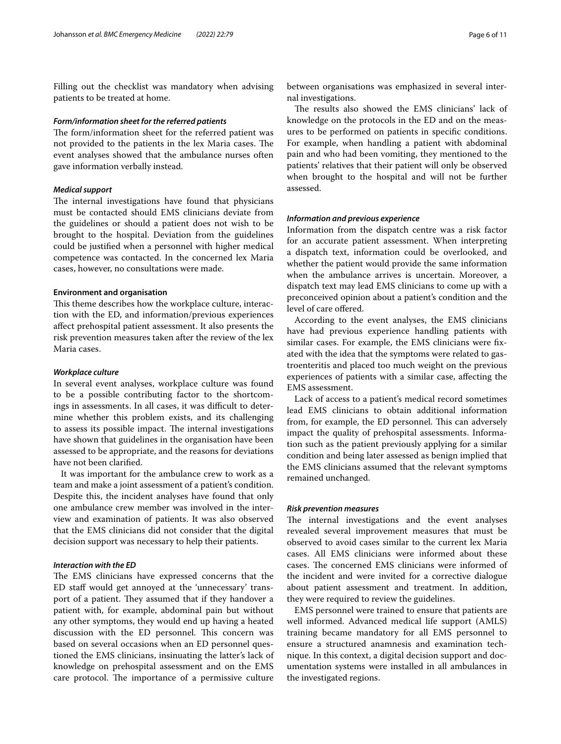Filling out the checklist was mandatory when advising patients to be treated at home.

#### *Form/information sheet for the referred patients*

The form/information sheet for the referred patient was not provided to the patients in the lex Maria cases. The event analyses showed that the ambulance nurses often gave information verbally instead.

#### *Medical support*

The internal investigations have found that physicians must be contacted should EMS clinicians deviate from the guidelines or should a patient does not wish to be brought to the hospital. Deviation from the guidelines could be justifed when a personnel with higher medical competence was contacted. In the concerned lex Maria cases, however, no consultations were made.

#### **Environment and organisation**

This theme describes how the workplace culture, interaction with the ED, and information/previous experiences afect prehospital patient assessment. It also presents the risk prevention measures taken after the review of the lex Maria cases.

#### *Workplace culture*

In several event analyses, workplace culture was found to be a possible contributing factor to the shortcomings in assessments. In all cases, it was difficult to determine whether this problem exists, and its challenging to assess its possible impact. The internal investigations have shown that guidelines in the organisation have been assessed to be appropriate, and the reasons for deviations have not been clarifed.

It was important for the ambulance crew to work as a team and make a joint assessment of a patient's condition. Despite this, the incident analyses have found that only one ambulance crew member was involved in the interview and examination of patients. It was also observed that the EMS clinicians did not consider that the digital decision support was necessary to help their patients.

#### *Interaction with the ED*

The EMS clinicians have expressed concerns that the ED staf would get annoyed at the 'unnecessary' transport of a patient. They assumed that if they handover a patient with, for example, abdominal pain but without any other symptoms, they would end up having a heated discussion with the ED personnel. This concern was based on several occasions when an ED personnel questioned the EMS clinicians, insinuating the latter's lack of knowledge on prehospital assessment and on the EMS care protocol. The importance of a permissive culture

between organisations was emphasized in several internal investigations.

The results also showed the EMS clinicians' lack of knowledge on the protocols in the ED and on the measures to be performed on patients in specifc conditions. For example, when handling a patient with abdominal pain and who had been vomiting, they mentioned to the patients' relatives that their patient will only be observed when brought to the hospital and will not be further assessed.

#### *Information and previous experience*

Information from the dispatch centre was a risk factor for an accurate patient assessment. When interpreting a dispatch text, information could be overlooked, and whether the patient would provide the same information when the ambulance arrives is uncertain. Moreover, a dispatch text may lead EMS clinicians to come up with a preconceived opinion about a patient's condition and the level of care offered.

According to the event analyses, the EMS clinicians have had previous experience handling patients with similar cases. For example, the EMS clinicians were fxated with the idea that the symptoms were related to gastroenteritis and placed too much weight on the previous experiences of patients with a similar case, afecting the EMS assessment.

Lack of access to a patient's medical record sometimes lead EMS clinicians to obtain additional information from, for example, the ED personnel. This can adversely impact the quality of prehospital assessments. Information such as the patient previously applying for a similar condition and being later assessed as benign implied that the EMS clinicians assumed that the relevant symptoms remained unchanged.

#### *Risk prevention measures*

The internal investigations and the event analyses revealed several improvement measures that must be observed to avoid cases similar to the current lex Maria cases. All EMS clinicians were informed about these cases. The concerned EMS clinicians were informed of the incident and were invited for a corrective dialogue about patient assessment and treatment. In addition, they were required to review the guidelines.

EMS personnel were trained to ensure that patients are well informed. Advanced medical life support (AMLS) training became mandatory for all EMS personnel to ensure a structured anamnesis and examination technique. In this context, a digital decision support and documentation systems were installed in all ambulances in the investigated regions.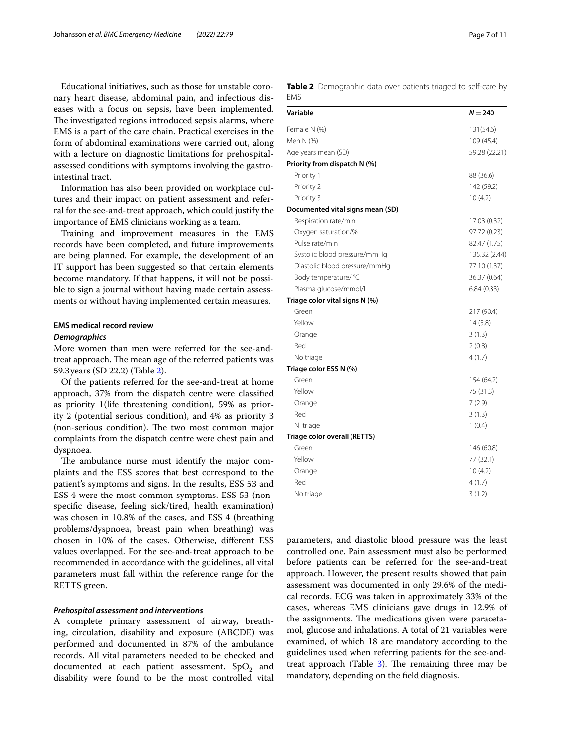Educational initiatives, such as those for unstable coronary heart disease, abdominal pain, and infectious diseases with a focus on sepsis, have been implemented. The investigated regions introduced sepsis alarms, where EMS is a part of the care chain. Practical exercises in the form of abdominal examinations were carried out, along with a lecture on diagnostic limitations for prehospitalassessed conditions with symptoms involving the gastrointestinal tract.

Information has also been provided on workplace cultures and their impact on patient assessment and referral for the see-and-treat approach, which could justify the importance of EMS clinicians working as a team.

Training and improvement measures in the EMS records have been completed, and future improvements are being planned. For example, the development of an IT support has been suggested so that certain elements become mandatory. If that happens, it will not be possible to sign a journal without having made certain assessments or without having implemented certain measures.

## **EMS medical record review**

#### *Demographics*

More women than men were referred for the see-andtreat approach. The mean age of the referred patients was 59.3years (SD 22.2) (Table [2](#page-6-0)).

Of the patients referred for the see-and-treat at home approach, 37% from the dispatch centre were classifed as priority 1(life threatening condition), 59% as priority 2 (potential serious condition), and 4% as priority 3 (non-serious condition). The two most common major complaints from the dispatch centre were chest pain and dyspnoea.

The ambulance nurse must identify the major complaints and the ESS scores that best correspond to the patient's symptoms and signs. In the results, ESS 53 and ESS 4 were the most common symptoms. ESS 53 (nonspecifc disease, feeling sick/tired, health examination) was chosen in 10.8% of the cases, and ESS 4 (breathing problems/dyspnoea, breast pain when breathing) was chosen in 10% of the cases. Otherwise, diferent ESS values overlapped. For the see-and-treat approach to be recommended in accordance with the guidelines, all vital parameters must fall within the reference range for the RETTS green.

#### *Prehospital assessment and interventions*

A complete primary assessment of airway, breathing, circulation, disability and exposure (ABCDE) was performed and documented in 87% of the ambulance records. All vital parameters needed to be checked and documented at each patient assessment.  $SpO<sub>2</sub>$  and disability were found to be the most controlled vital <span id="page-6-0"></span>**Table 2** Demographic data over patients triaged to self-care by **EMS** 

| Variable                         | $N = 240$     |
|----------------------------------|---------------|
| Female N (%)                     | 131(54.6)     |
| Men N (%)                        | 109 (45.4)    |
| Age years mean (SD)              | 59.28 (22.21) |
| Priority from dispatch N (%)     |               |
| Priority 1                       | 88 (36.6)     |
| Priority 2                       | 142 (59.2)    |
| Priority 3                       | 10(4.2)       |
| Documented vital signs mean (SD) |               |
| Respiration rate/min             | 17.03 (0.32)  |
| Oxygen saturation/%              | 97.72 (0.23)  |
| Pulse rate/min                   | 82.47 (1.75)  |
| Systolic blood pressure/mmHg     | 135.32 (2.44) |
| Diastolic blood pressure/mmHg    | 77.10 (1.37)  |
| Body temperature/ °C             | 36.37 (0.64)  |
| Plasma glucose/mmol/l            | 6.84(0.33)    |
| Triage color vital signs N (%)   |               |
| Green                            | 217 (90.4)    |
| Yellow                           | 14(5.8)       |
| Orange                           | 3(1.3)        |
| Red                              | 2(0.8)        |
| No triage                        | 4(1.7)        |
| Triage color ESS N (%)           |               |
| Green                            | 154 (64.2)    |
| Yellow                           | 75 (31.3)     |
| Orange                           | 7(2.9)        |
| Red                              | 3(1.3)        |
| Ni triage                        | 1(0.4)        |
| Triage color overall (RETTS)     |               |
| Green                            | 146 (60.8)    |
| Yellow                           | 77 (32.1)     |
| Orange                           | 10(4.2)       |
| Red                              | 4(1.7)        |
| No triage                        | 3(1.2)        |

parameters, and diastolic blood pressure was the least controlled one. Pain assessment must also be performed before patients can be referred for the see-and-treat approach. However, the present results showed that pain assessment was documented in only 29.6% of the medical records. ECG was taken in approximately 33% of the cases, whereas EMS clinicians gave drugs in 12.9% of the assignments. The medications given were paracetamol, glucose and inhalations. A total of 21 variables were examined, of which 18 are mandatory according to the guidelines used when referring patients for the see-andtreat approach (Table  $3$ ). The remaining three may be mandatory, depending on the feld diagnosis.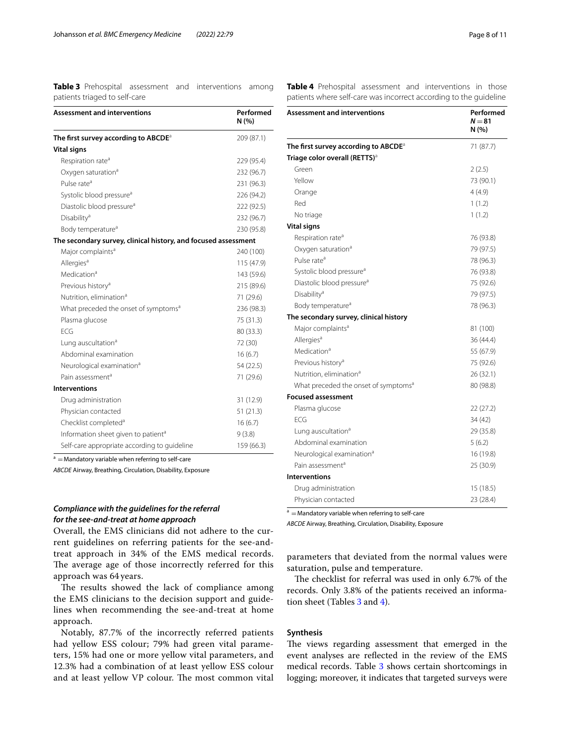<span id="page-7-0"></span>**Table 3** Prehospital assessment and interventions among patients triaged to self-care

| <b>Assessment and interventions</b>                            | Performed<br>N(%) |
|----------------------------------------------------------------|-------------------|
| The first survey according to $ABCDE^a$                        | 209 (87.1)        |
| <b>Vital signs</b>                                             |                   |
| Respiration rate <sup>a</sup>                                  | 229 (95.4)        |
| Oxygen saturation <sup>a</sup>                                 | 232 (96.7)        |
| Pulse rate <sup>a</sup>                                        | 231 (96.3)        |
| Systolic blood pressure <sup>a</sup>                           | 226 (94.2)        |
| Diastolic blood pressure <sup>a</sup>                          | 222 (92.5)        |
| Disability <sup>a</sup>                                        | 232 (96.7)        |
| Body temperature <sup>a</sup>                                  | 230 (95.8)        |
| The secondary survey, clinical history, and focused assessment |                   |
| Major complaints <sup>a</sup>                                  | 240 (100)         |
| Allergies <sup>a</sup>                                         | 115 (47.9)        |
| Medication <sup>a</sup>                                        | 143 (59.6)        |
| Previous history <sup>a</sup>                                  | 215 (89.6)        |
| Nutrition, elimination <sup>a</sup>                            | 71 (29.6)         |
| What preceded the onset of symptoms <sup>a</sup>               | 236 (98.3)        |
| Plasma glucose                                                 | 75 (31.3)         |
| FCG                                                            | 80 (33.3)         |
| Lung auscultation <sup>a</sup>                                 | 72 (30)           |
| Abdominal examination                                          | 16(6.7)           |
| Neurological examination <sup>a</sup>                          | 54 (22.5)         |
| Pain assessment <sup>a</sup>                                   | 71 (29.6)         |
| <b>Interventions</b>                                           |                   |
| Drug administration                                            | 31 (12.9)         |
| Physician contacted                                            | 51(21.3)          |
| Checklist completed <sup>a</sup>                               | 16(6.7)           |
| Information sheet given to patient <sup>a</sup>                | 9(3.8)            |
| Self-care appropriate according to guideline                   | 159 (66.3)        |

 $a =$ Mandatory variable when referring to self-care

*ABCDE* Airway, Breathing, Circulation, Disability, Exposure

#### *Compliance with the guidelines for the referral for the see‑and‑treat at home approach*

Overall, the EMS clinicians did not adhere to the current guidelines on referring patients for the see-andtreat approach in 34% of the EMS medical records. The average age of those incorrectly referred for this approach was 64 years.

The results showed the lack of compliance among the EMS clinicians to the decision support and guidelines when recommending the see-and-treat at home approach.

Notably, 87.7% of the incorrectly referred patients had yellow ESS colour; 79% had green vital parameters, 15% had one or more yellow vital parameters, and 12.3% had a combination of at least yellow ESS colour and at least yellow VP colour. The most common vital <span id="page-7-1"></span>**Table 4** Prehospital assessment and interventions in those patients where self-care was incorrect according to the guideline

| <b>Assessment and interventions</b>              | Performed<br>$N = 81$<br>N (%) |
|--------------------------------------------------|--------------------------------|
| The first survey according to ABCDE <sup>a</sup> | 71 (87.7)                      |
| Triage color overall (RETTS) <sup>a</sup>        |                                |
| Green                                            | 2(2.5)                         |
| Yellow                                           | 73 (90.1)                      |
| Orange                                           | 4(4.9)                         |
| Red                                              | 1(1.2)                         |
| No triage                                        | 1(1.2)                         |
| <b>Vital signs</b>                               |                                |
| Respiration rate <sup>a</sup>                    | 76 (93.8)                      |
| Oxygen saturation <sup>a</sup>                   | 79 (97.5)                      |
| Pulse rate <sup>a</sup>                          | 78 (96.3)                      |
| Systolic blood pressure <sup>a</sup>             | 76 (93.8)                      |
| Diastolic blood pressure <sup>a</sup>            | 75 (92.6)                      |
| Disability <sup>a</sup>                          | 79 (97.5)                      |
| Body temperature <sup>a</sup>                    | 78 (96.3)                      |
| The secondary survey, clinical history           |                                |
| Major complaints <sup>a</sup>                    | 81 (100)                       |
| Allergies <sup>a</sup>                           | 36 (44.4)                      |
| Medication <sup>a</sup>                          | 55 (67.9)                      |
| Previous history <sup>a</sup>                    | 75 (92.6)                      |
| Nutrition, elimination <sup>a</sup>              | 26 (32.1)                      |
| What preceded the onset of symptoms <sup>a</sup> | 80 (98.8)                      |
| <b>Focused assessment</b>                        |                                |
| Plasma glucose                                   | 22 (27.2)                      |
| FCG                                              | 34 (42)                        |
| Lung auscultation <sup>a</sup>                   | 29 (35.8)                      |
| Abdominal examination                            | 5(6.2)                         |
| Neurological examination <sup>a</sup>            | 16 (19.8)                      |
| Pain assessment <sup>a</sup>                     | 25 (30.9)                      |
| <b>Interventions</b>                             |                                |
| Drug administration                              | 15 (18.5)                      |
| Physician contacted                              | 23 (28.4)                      |

 $a =$ Mandatory variable when referring to self-care

*ABCDE* Airway, Breathing, Circulation, Disability, Exposure

parameters that deviated from the normal values were saturation, pulse and temperature.

The checklist for referral was used in only 6.7% of the records. Only 3.8% of the patients received an information sheet (Tables [3](#page-7-0) and [4\)](#page-7-1).

#### **Synthesis**

The views regarding assessment that emerged in the event analyses are refected in the review of the EMS medical records. Table [3](#page-7-0) shows certain shortcomings in logging; moreover, it indicates that targeted surveys were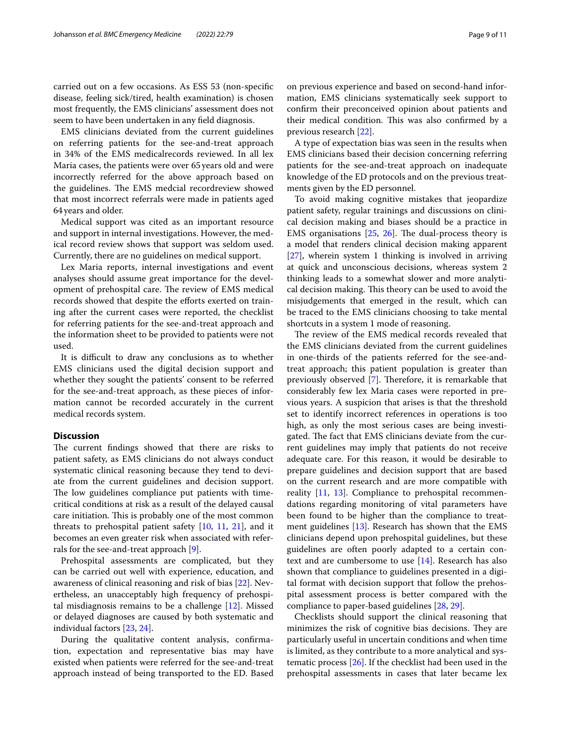carried out on a few occasions. As ESS 53 (non-specifc disease, feeling sick/tired, health examination) is chosen most frequently, the EMS clinicians' assessment does not seem to have been undertaken in any feld diagnosis.

EMS clinicians deviated from the current guidelines on referring patients for the see-and-treat approach in 34% of the EMS medicalrecords reviewed. In all lex Maria cases, the patients were over 65years old and were incorrectly referred for the above approach based on the guidelines. The EMS medcial recordreview showed that most incorrect referrals were made in patients aged 64years and older.

Medical support was cited as an important resource and support in internal investigations. However, the medical record review shows that support was seldom used. Currently, there are no guidelines on medical support.

Lex Maria reports, internal investigations and event analyses should assume great importance for the development of prehospital care. The review of EMS medical records showed that despite the eforts exerted on training after the current cases were reported, the checklist for referring patients for the see-and-treat approach and the information sheet to be provided to patients were not used.

It is difficult to draw any conclusions as to whether EMS clinicians used the digital decision support and whether they sought the patients' consent to be referred for the see-and-treat approach, as these pieces of information cannot be recorded accurately in the current medical records system.

#### **Discussion**

The current findings showed that there are risks to patient safety, as EMS clinicians do not always conduct systematic clinical reasoning because they tend to deviate from the current guidelines and decision support. The low guidelines compliance put patients with timecritical conditions at risk as a result of the delayed causal care initiation. This is probably one of the most common threats to prehospital patient safety [\[10](#page-10-9), [11](#page-10-10), [21](#page-10-20)], and it becomes an even greater risk when associated with referrals for the see-and-treat approach [\[9](#page-10-8)].

Prehospital assessments are complicated, but they can be carried out well with experience, education, and awareness of clinical reasoning and risk of bias [[22](#page-10-21)]. Nevertheless, an unacceptably high frequency of prehospital misdiagnosis remains to be a challenge [\[12](#page-10-11)]. Missed or delayed diagnoses are caused by both systematic and individual factors [\[23](#page-10-22), [24\]](#page-10-23).

During the qualitative content analysis, confrmation, expectation and representative bias may have existed when patients were referred for the see-and-treat approach instead of being transported to the ED. Based on previous experience and based on second-hand information, EMS clinicians systematically seek support to confrm their preconceived opinion about patients and their medical condition. This was also confirmed by a previous research [\[22](#page-10-21)].

A type of expectation bias was seen in the results when EMS clinicians based their decision concerning referring patients for the see-and-treat approach on inadequate knowledge of the ED protocols and on the previous treatments given by the ED personnel.

To avoid making cognitive mistakes that jeopardize patient safety, regular trainings and discussions on clinical decision making and biases should be a practice in EMS organisations  $[25, 26]$  $[25, 26]$  $[25, 26]$  $[25, 26]$ . The dual-process theory is a model that renders clinical decision making apparent [[27\]](#page-10-26), wherein system 1 thinking is involved in arriving at quick and unconscious decisions, whereas system 2 thinking leads to a somewhat slower and more analytical decision making. This theory can be used to avoid the misjudgements that emerged in the result, which can be traced to the EMS clinicians choosing to take mental shortcuts in a system 1 mode of reasoning.

The review of the EMS medical records revealed that the EMS clinicians deviated from the current guidelines in one-thirds of the patients referred for the see-andtreat approach; this patient population is greater than previously observed [\[7](#page-10-6)]. Therefore, it is remarkable that considerably few lex Maria cases were reported in previous years. A suspicion that arises is that the threshold set to identify incorrect references in operations is too high, as only the most serious cases are being investigated. The fact that EMS clinicians deviate from the current guidelines may imply that patients do not receive adequate care. For this reason, it would be desirable to prepare guidelines and decision support that are based on the current research and are more compatible with reality [[11,](#page-10-10) [13](#page-10-12)]. Compliance to prehospital recommendations regarding monitoring of vital parameters have been found to be higher than the compliance to treatment guidelines [\[13\]](#page-10-12). Research has shown that the EMS clinicians depend upon prehospital guidelines, but these guidelines are often poorly adapted to a certain context and are cumbersome to use [[14](#page-10-13)]. Research has also shown that compliance to guidelines presented in a digital format with decision support that follow the prehospital assessment process is better compared with the compliance to paper-based guidelines [[28,](#page-10-27) [29](#page-10-28)].

Checklists should support the clinical reasoning that minimizes the risk of cognitive bias decisions. They are particularly useful in uncertain conditions and when time is limited, as they contribute to a more analytical and systematic process [[26\]](#page-10-25). If the checklist had been used in the prehospital assessments in cases that later became lex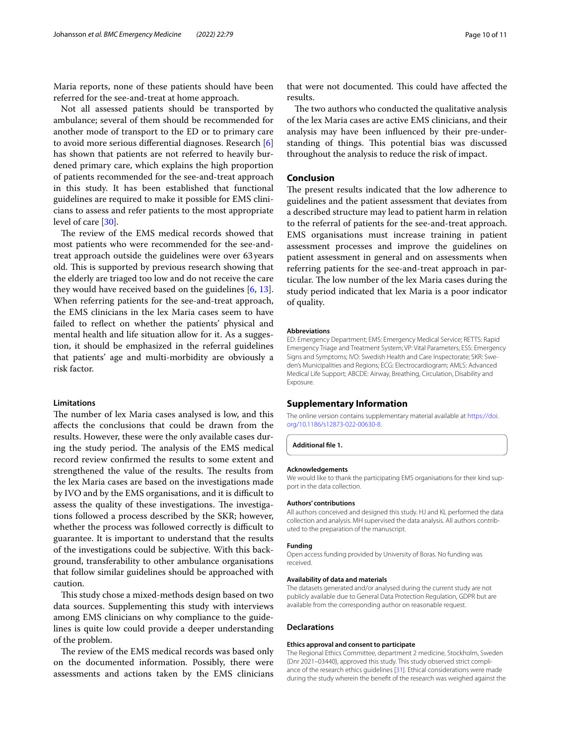Maria reports, none of these patients should have been referred for the see-and-treat at home approach.

Not all assessed patients should be transported by ambulance; several of them should be recommended for another mode of transport to the ED or to primary care to avoid more serious diferential diagnoses. Research [\[6](#page-10-5)] has shown that patients are not referred to heavily burdened primary care, which explains the high proportion of patients recommended for the see-and-treat approach in this study. It has been established that functional guidelines are required to make it possible for EMS clinicians to assess and refer patients to the most appropriate level of care [[30\]](#page-10-29).

The review of the EMS medical records showed that most patients who were recommended for the see-andtreat approach outside the guidelines were over 63years old. This is supported by previous research showing that the elderly are triaged too low and do not receive the care they would have received based on the guidelines  $[6, 13]$  $[6, 13]$  $[6, 13]$  $[6, 13]$ . When referring patients for the see-and-treat approach, the EMS clinicians in the lex Maria cases seem to have failed to refect on whether the patients' physical and mental health and life situation allow for it. As a suggestion, it should be emphasized in the referral guidelines that patients' age and multi-morbidity are obviously a risk factor.

#### **Limitations**

The number of lex Maria cases analysed is low, and this afects the conclusions that could be drawn from the results. However, these were the only available cases during the study period. The analysis of the EMS medical record review confrmed the results to some extent and strengthened the value of the results. The results from the lex Maria cases are based on the investigations made by IVO and by the EMS organisations, and it is difficult to assess the quality of these investigations. The investigations followed a process described by the SKR; however, whether the process was followed correctly is difficult to guarantee. It is important to understand that the results of the investigations could be subjective. With this background, transferability to other ambulance organisations that follow similar guidelines should be approached with caution.

This study chose a mixed-methods design based on two data sources. Supplementing this study with interviews among EMS clinicians on why compliance to the guidelines is quite low could provide a deeper understanding of the problem.

The review of the EMS medical records was based only on the documented information. Possibly, there were assessments and actions taken by the EMS clinicians

that were not documented. This could have affected the results.

The two authors who conducted the qualitative analysis of the lex Maria cases are active EMS clinicians, and their analysis may have been infuenced by their pre-understanding of things. This potential bias was discussed throughout the analysis to reduce the risk of impact.

#### **Conclusion**

The present results indicated that the low adherence to guidelines and the patient assessment that deviates from a described structure may lead to patient harm in relation to the referral of patients for the see-and-treat approach. EMS organisations must increase training in patient assessment processes and improve the guidelines on patient assessment in general and on assessments when referring patients for the see-and-treat approach in particular. The low number of the lex Maria cases during the study period indicated that lex Maria is a poor indicator of quality.

#### **Abbreviations**

ED: Emergency Department; EMS: Emergency Medical Service; RETTS: Rapid Emergency Triage and Treatment System; VP: Vital Parameters; ESS: Emergency Signs and Symptoms; IVO: Swedish Health and Care Inspectorate; SKR: Sweden's Municipalities and Regions; ECG: Electrocardiogram; AMLS: Advanced Medical Life Support; ABCDE: Airway, Breathing, Circulation, Disability and Exposure.

#### **Supplementary Information**

The online version contains supplementary material available at [https://doi.](https://doi.org/10.1186/s12873-022-00630-8) [org/10.1186/s12873-022-00630-8](https://doi.org/10.1186/s12873-022-00630-8).

**Additional fle 1.**

#### **Acknowledgements**

We would like to thank the participating EMS organisations for their kind support in the data collection.

#### **Authors' contributions**

All authors conceived and designed this study. HJ and KL performed the data collection and analysis. MH supervised the data analysis. All authors contributed to the preparation of the manuscript.

#### **Funding**

Open access funding provided by University of Boras. No funding was received.

#### **Availability of data and materials**

The datasets generated and/or analysed during the current study are not publicly available due to General Data Protection Regulation, GDPR but are available from the corresponding author on reasonable request.

#### **Declarations**

#### **Ethics approval and consent to participate**

The Regional Ethics Committee, department 2 medicine, Stockholm, Sweden (Dnr 2021–03440), approved this study. This study observed strict compliance of the research ethics guidelines [[31\]](#page-10-30). Ethical considerations were made during the study wherein the beneft of the research was weighed against the